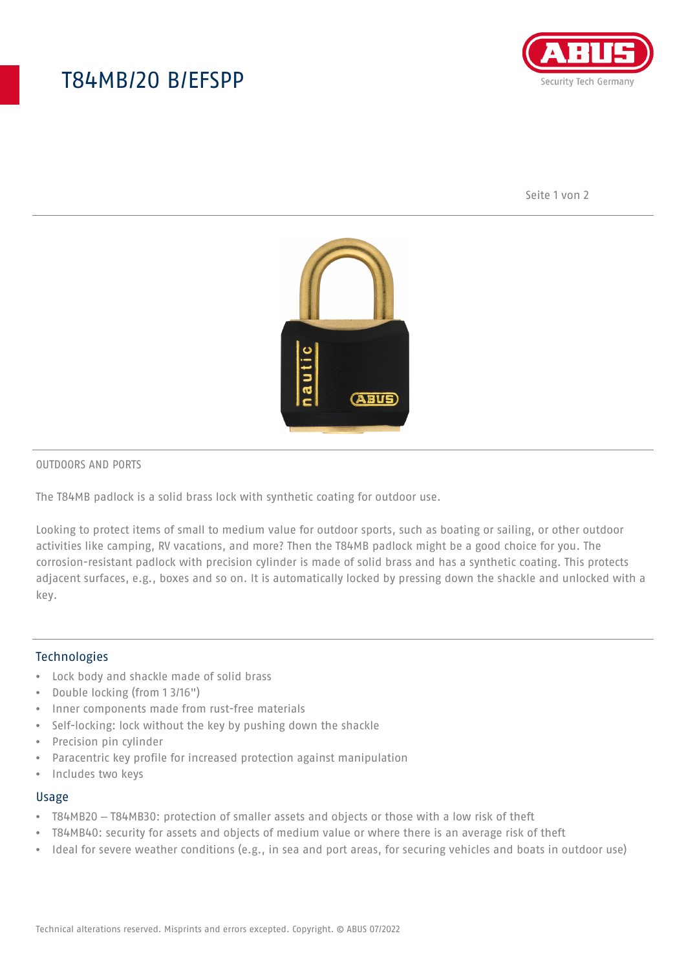# T84MB/20 B/EFSPP



Seite 1 von 2



#### OUTDOORS AND PORTS

The T84MB padlock is a solid brass lock with synthetic coating for outdoor use.

Looking to protect items of small to medium value for outdoor sports, such as boating or sailing, or other outdoor activities like camping, RV vacations, and more? Then the T84MB padlock might be a good choice for you. The corrosion-resistant padlock with precision cylinder is made of solid brass and has a synthetic coating. This protects adjacent surfaces, e.g., boxes and so on. It is automatically locked by pressing down the shackle and unlocked with a key.

#### Technologies

- Lock body and shackle made of solid brass
- Double locking (from 1 3/16")
- Inner components made from rust-free materials
- Self-locking: lock without the key by pushing down the shackle
- Precision pin cylinder
- Paracentric key profile for increased protection against manipulation
- Includes two keys

#### Usage

- T84MB20 T84MB30: protection of smaller assets and objects or those with a low risk of theft
- T84MB40: security for assets and objects of medium value or where there is an average risk of theft
- Ideal for severe weather conditions (e.g., in sea and port areas, for securing vehicles and boats in outdoor use)